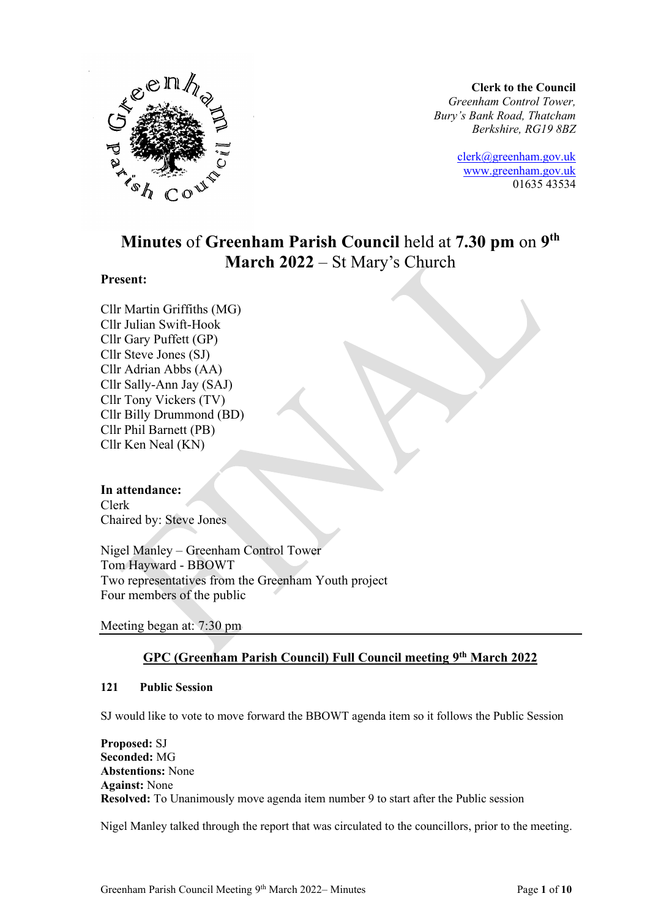

**Clerk to the Council** *Greenham Control Tower, Bury's Bank Road, Thatcham Berkshire, RG19 8BZ*

> [clerk@greenham.gov.uk](mailto:clerk@greenham.gov.uk) [www.greenham.gov.uk](http://www.greenham.gov.uk/) 01635 43534

# **Minutes** of **Greenham Parish Council** held at **7.30 pm** on **9 th March 2022** – St Mary's Church

#### **Present:**

Cllr Martin Griffiths (MG) Cllr Julian Swift-Hook Cllr Gary Puffett (GP) Cllr Steve Jones (SJ) Cllr Adrian Abbs (AA) Cllr Sally-Ann Jay (SAJ) Cllr Tony Vickers (TV) Cllr Billy Drummond (BD) Cllr Phil Barnett (PB) Cllr Ken Neal (KN)

#### **In attendance:**

Clerk Chaired by: Steve Jones

Nigel Manley – Greenham Control Tower Tom Hayward - BBOWT Two representatives from the Greenham Youth project Four members of the public

Meeting began at: 7:30 pm

## **GPC (Greenham Parish Council) Full Council meeting 9 th March 2022**

#### **121 Public Session**

SJ would like to vote to move forward the BBOWT agenda item so it follows the Public Session

**Proposed:** SJ **Seconded:** MG **Abstentions:** None **Against:** None **Resolved:** To Unanimously move agenda item number 9 to start after the Public session

Nigel Manley talked through the report that was circulated to the councillors, prior to the meeting.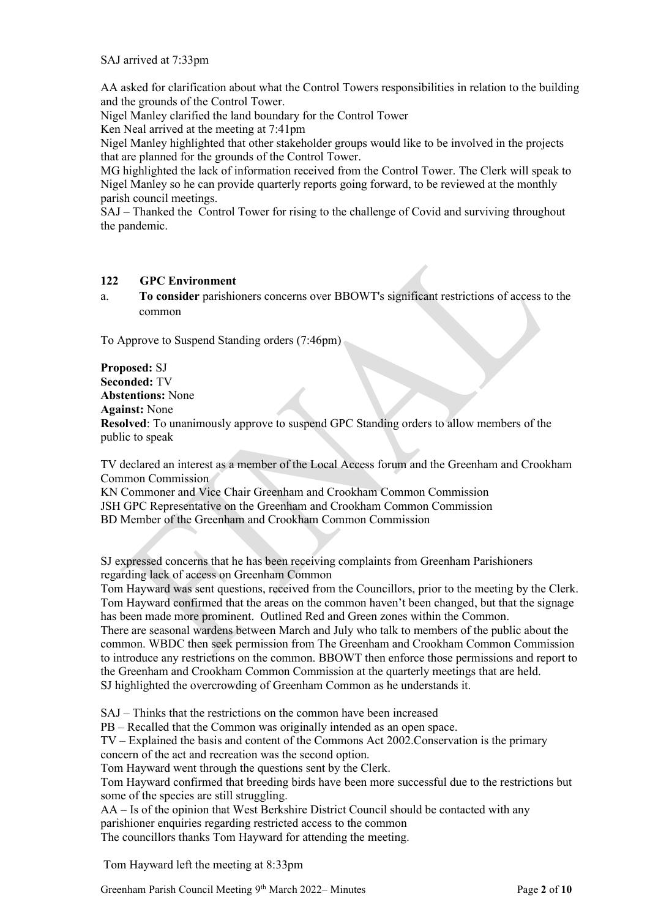SAJ arrived at 7:33pm

AA asked for clarification about what the Control Towers responsibilities in relation to the building and the grounds of the Control Tower.

Nigel Manley clarified the land boundary for the Control Tower

Ken Neal arrived at the meeting at 7:41pm

Nigel Manley highlighted that other stakeholder groups would like to be involved in the projects that are planned for the grounds of the Control Tower.

MG highlighted the lack of information received from the Control Tower. The Clerk will speak to Nigel Manley so he can provide quarterly reports going forward, to be reviewed at the monthly parish council meetings.

SAJ – Thanked the Control Tower for rising to the challenge of Covid and surviving throughout the pandemic.

#### **122 GPC Environment**

a. **To consider** parishioners concerns over BBOWT's significant restrictions of access to the common

To Approve to Suspend Standing orders (7:46pm)

**Proposed:** SJ **Seconded:** TV **Abstentions:** None **Against:** None **Resolved**: To unanimously approve to suspend GPC Standing orders to allow members of the public to speak

TV declared an interest as a member of the Local Access forum and the Greenham and Crookham Common Commission

KN Commoner and Vice Chair Greenham and Crookham Common Commission JSH GPC Representative on the Greenham and Crookham Common Commission BD Member of the Greenham and Crookham Common Commission

SJ expressed concerns that he has been receiving complaints from Greenham Parishioners regarding lack of access on Greenham Common

Tom Hayward was sent questions, received from the Councillors, prior to the meeting by the Clerk. Tom Hayward confirmed that the areas on the common haven't been changed, but that the signage has been made more prominent. Outlined Red and Green zones within the Common.

There are seasonal wardens between March and July who talk to members of the public about the common. WBDC then seek permission from The Greenham and Crookham Common Commission to introduce any restrictions on the common. BBOWT then enforce those permissions and report to the Greenham and Crookham Common Commission at the quarterly meetings that are held. SJ highlighted the overcrowding of Greenham Common as he understands it.

SAJ – Thinks that the restrictions on the common have been increased

PB – Recalled that the Common was originally intended as an open space.

TV – Explained the basis and content of the Commons Act 2002.Conservation is the primary concern of the act and recreation was the second option.

Tom Hayward went through the questions sent by the Clerk.

Tom Hayward confirmed that breeding birds have been more successful due to the restrictions but some of the species are still struggling.

AA – Is of the opinion that West Berkshire District Council should be contacted with any

parishioner enquiries regarding restricted access to the common

The councillors thanks Tom Hayward for attending the meeting.

Tom Hayward left the meeting at 8:33pm

Greenham Parish Council Meeting 9<sup>th</sup> March 2022– Minutes Page 2 of 10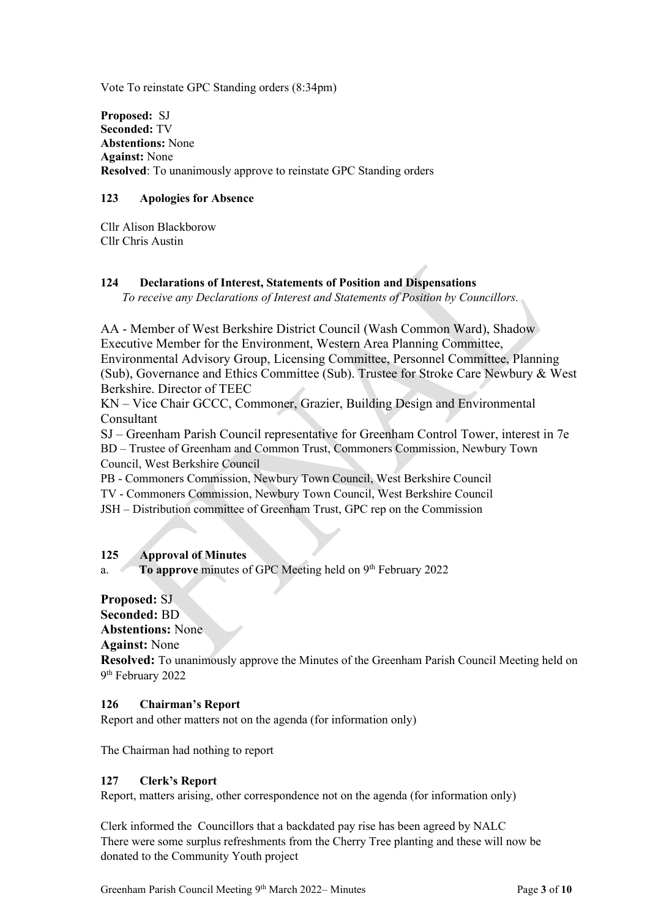Vote To reinstate GPC Standing orders (8:34pm)

**Proposed:** SJ **Seconded:** TV **Abstentions:** None **Against:** None **Resolved**: To unanimously approve to reinstate GPC Standing orders

#### **123 Apologies for Absence**

Cllr Alison Blackborow Cllr Chris Austin

### **124 Declarations of Interest, Statements of Position and Dispensations**

*To receive any Declarations of Interest and Statements of Position by Councillors.* 

AA - Member of West Berkshire District Council (Wash Common Ward), Shadow Executive Member for the Environment, Western Area Planning Committee, Environmental Advisory Group, Licensing Committee, Personnel Committee, Planning (Sub), Governance and Ethics Committee (Sub). Trustee for Stroke Care Newbury & West Berkshire. Director of TEEC

KN – Vice Chair GCCC, Commoner, Grazier, Building Design and Environmental Consultant

SJ – Greenham Parish Council representative for Greenham Control Tower, interest in 7e BD – Trustee of Greenham and Common Trust, Commoners Commission, Newbury Town Council, West Berkshire Council

PB - Commoners Commission, Newbury Town Council, West Berkshire Council TV - Commoners Commission, Newbury Town Council, West Berkshire Council JSH – Distribution committee of Greenham Trust, GPC rep on the Commission

#### **125 Approval of Minutes**

a. To approve minutes of GPC Meeting held on 9<sup>th</sup> February 2022

# **Proposed:** SJ **Seconded:** BD **Abstentions:** None

**Against:** None

**Resolved:** To unanimously approve the Minutes of the Greenham Parish Council Meeting held on 9 th February 2022

#### **126 Chairman's Report**

Report and other matters not on the agenda (for information only)

The Chairman had nothing to report

#### **127 Clerk's Report**

Report, matters arising, other correspondence not on the agenda (for information only)

Clerk informed the Councillors that a backdated pay rise has been agreed by NALC There were some surplus refreshments from the Cherry Tree planting and these will now be donated to the Community Youth project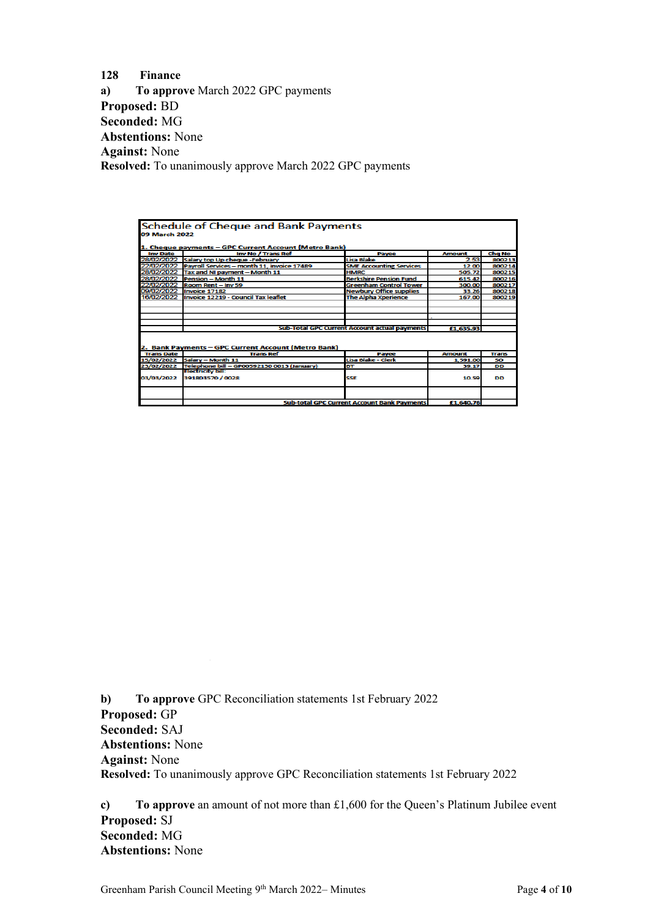**128 Finance a) To approve** March 2022 GPC payments **Proposed:** BD **Seconded:** MG **Abstentions:** None **Against:** None **Resolved:** To unanimously approve March 2022 GPC payments

|                   | <b>Schedule of Cheque and Bank Payments</b>           |                                                    |               |              |
|-------------------|-------------------------------------------------------|----------------------------------------------------|---------------|--------------|
|                   |                                                       |                                                    |               |              |
| 09 March 2022     |                                                       |                                                    |               |              |
|                   | 1. Cheque payments - GPC Current Account (Metro Bank) |                                                    |               |              |
| <b>Inv Date</b>   | Inv No / Trans Ref                                    | Payee                                              | <b>Amount</b> | Chg No       |
|                   | 28/02/2022 Salary top Up cheque -February             | Lisa Blake                                         | 2.53          | 800213       |
| 22/02/2022        | Payroll Services - month 11, invoice 17489            | <b>SME Accounting Services</b>                     | 12.00         | 800214       |
| 28/02/2022        | Tax and NI payment - Month 11                         | <b>HMRC</b>                                        | 505.72        | 800215       |
| 28/02/2022        | Pension - Month 11                                    | <b>Berkshire Pension Fund</b>                      | 615.42        | 800216       |
| 22/02/2022        | Room Rent - Inv 59                                    | <b>Greenham Control Tower</b>                      | 300.00        | 800217       |
| 09/02/2022        | Invoice 17182                                         | <b>Newbury Office supplies</b>                     | 33.26         | 800218       |
| 16/02/2022        | Invoice 12219 - Council Tax leaflet                   | <b>The Alpha Xperience</b>                         | 167.00        | 800219       |
|                   |                                                       |                                                    |               |              |
|                   |                                                       |                                                    |               |              |
|                   |                                                       |                                                    |               |              |
|                   |                                                       |                                                    |               |              |
|                   |                                                       | Sub-Total GPC Current Account actual payments      | £1,635.93     |              |
|                   | 2. Bank Payments – GPC Current Account (Metro Bank)   |                                                    |               |              |
| <b>Trans Date</b> | <b>Trans Ref</b>                                      | Payee                                              | <b>Amount</b> | <b>Trans</b> |
| 15/02/2022        | Salary - Month 11                                     | Lisa Blake - Clerk                                 | 1.591.00      | <b>SO</b>    |
| 23/02/2022        | Telephone bill - GP00592130 0013 (January)            | <b>BT</b>                                          | 39.17         | <b>DD</b>    |
| 03/03/2022        | Electricity bill:<br>391803570 / 0028                 | SSE                                                | 10.59         | DD           |
|                   |                                                       |                                                    |               |              |
|                   |                                                       | <b>Sub-total GPC Current Account Bank Payments</b> | £1,640.76     |              |

**b) To approve** GPC Reconciliation statements 1st February 2022 **Proposed:** GP **Seconded:** SAJ **Abstentions:** None **Against:** None **Resolved:** To unanimously approve GPC Reconciliation statements 1st February 2022

**c) To approve** an amount of not more than £1,600 for the Queen's Platinum Jubilee event **Proposed:** SJ **Seconded:** MG **Abstentions:** None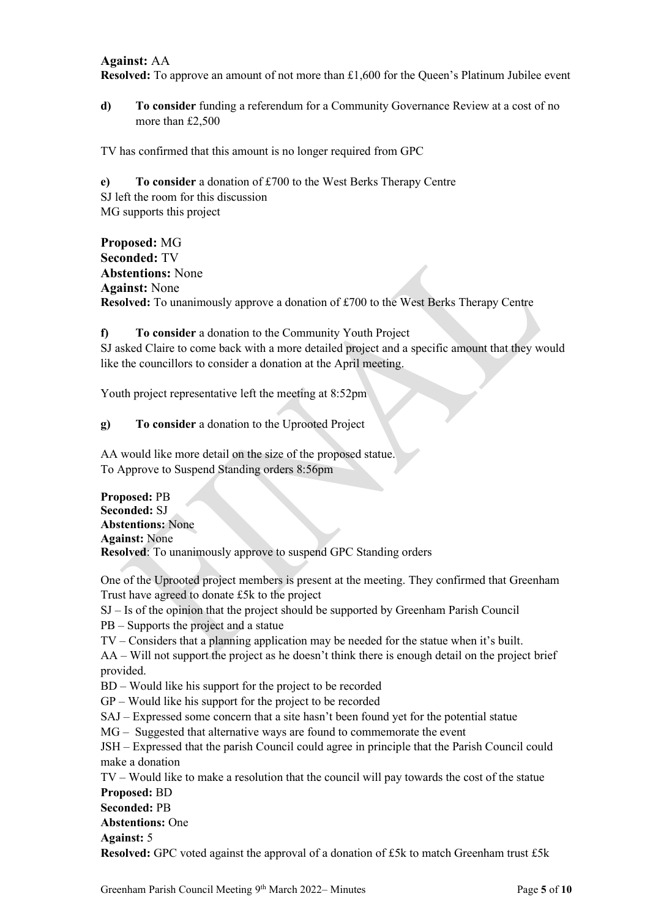#### **Against:** AA

**Resolved:** To approve an amount of not more than £1,600 for the Queen's Platinum Jubilee event

**d) To consider** funding a referendum for a Community Governance Review at a cost of no more than £2,500

TV has confirmed that this amount is no longer required from GPC

**e) To consider** a donation of £700 to the West Berks Therapy Centre SJ left the room for this discussion MG supports this project

**Proposed:** MG **Seconded:** TV **Abstentions:** None **Against:** None **Resolved:** To unanimously approve a donation of £700 to the West Berks Therapy Centre

**f) To consider** a donation to the Community Youth Project SJ asked Claire to come back with a more detailed project and a specific amount that they would like the councillors to consider a donation at the April meeting.

Youth project representative left the meeting at 8:52pm

**g) To consider** a donation to the Uprooted Project

AA would like more detail on the size of the proposed statue. To Approve to Suspend Standing orders 8:56pm

**Proposed:** PB **Seconded:** SJ **Abstentions:** None **Against:** None **Resolved**: To unanimously approve to suspend GPC Standing orders

One of the Uprooted project members is present at the meeting. They confirmed that Greenham Trust have agreed to donate £5k to the project

SJ – Is of the opinion that the project should be supported by Greenham Parish Council

PB – Supports the project and a statue

TV – Considers that a planning application may be needed for the statue when it's built.

AA – Will not support the project as he doesn't think there is enough detail on the project brief provided.

BD – Would like his support for the project to be recorded

GP – Would like his support for the project to be recorded

SAJ – Expressed some concern that a site hasn't been found yet for the potential statue

MG – Suggested that alternative ways are found to commemorate the event

JSH – Expressed that the parish Council could agree in principle that the Parish Council could make a donation

TV – Would like to make a resolution that the council will pay towards the cost of the statue **Proposed:** BD **Seconded:** PB **Abstentions:** One **Against:** 5 **Resolved:** GPC voted against the approval of a donation of £5k to match Greenham trust £5k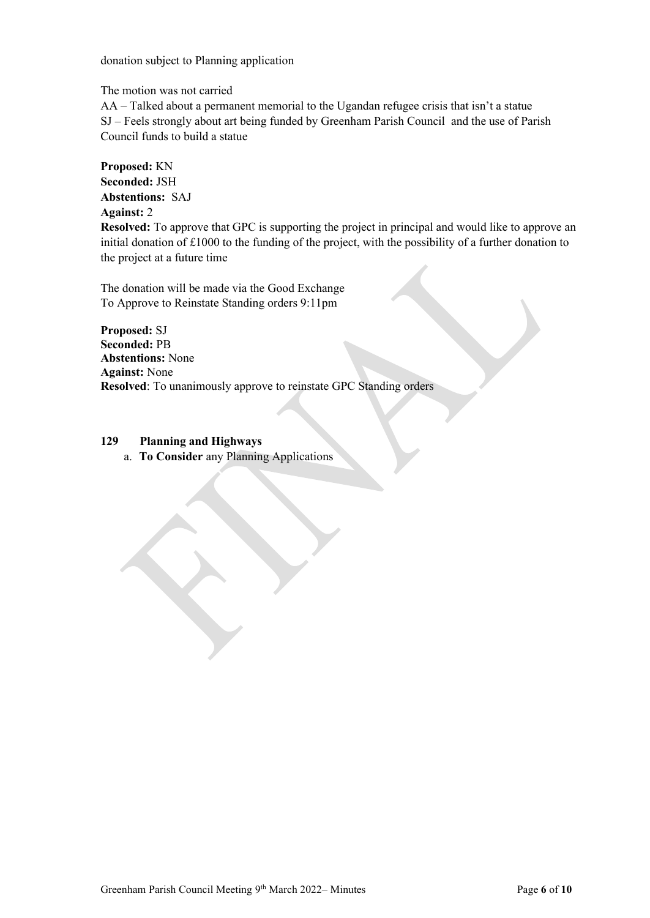donation subject to Planning application

The motion was not carried

AA – Talked about a permanent memorial to the Ugandan refugee crisis that isn't a statue SJ – Feels strongly about art being funded by Greenham Parish Council and the use of Parish Council funds to build a statue

**Proposed:** KN **Seconded:** JSH **Abstentions:** SAJ **Against:** 2 **Resolved:** To approve that GPC is supporting the project in principal and would like to approve an initial donation of £1000 to the funding of the project, with the possibility of a further donation to the project at a future time

The donation will be made via the Good Exchange To Approve to Reinstate Standing orders 9:11pm

**Proposed:** SJ **Seconded:** PB **Abstentions:** None **Against:** None **Resolved**: To unanimously approve to reinstate GPC Standing orders

#### **129 Planning and Highways**

a. **To Consider** any Planning Applications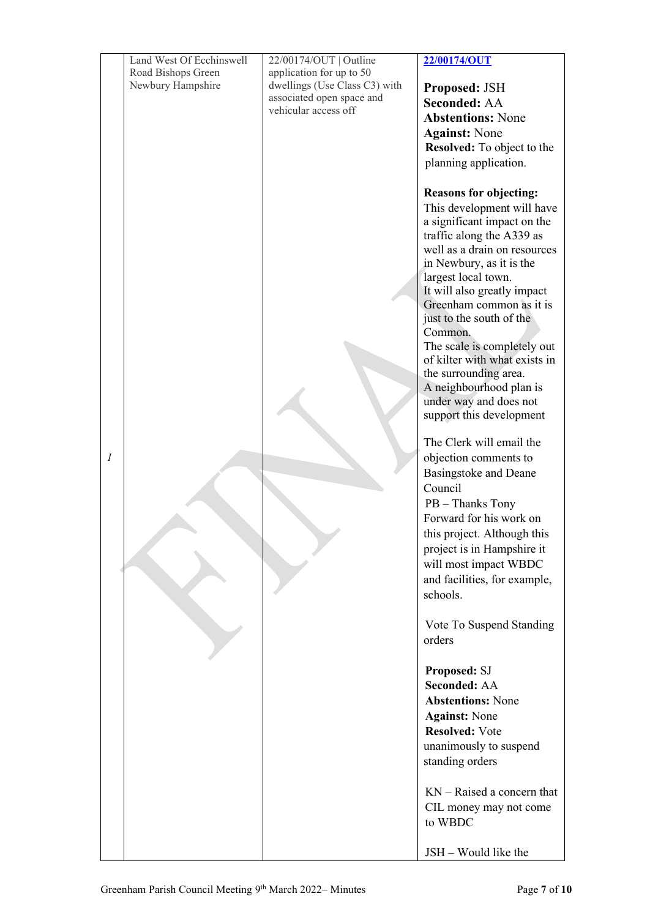|                  | Land West Of Ecchinswell | 22/00174/OUT   Outline                            | 22/00174/OUT                                                                                                                                                                                                                                                           |
|------------------|--------------------------|---------------------------------------------------|------------------------------------------------------------------------------------------------------------------------------------------------------------------------------------------------------------------------------------------------------------------------|
|                  | Road Bishops Green       | application for up to 50                          |                                                                                                                                                                                                                                                                        |
|                  | Newbury Hampshire        | dwellings (Use Class C3) with                     | Proposed: JSH                                                                                                                                                                                                                                                          |
|                  |                          | associated open space and<br>vehicular access off | <b>Seconded: AA</b>                                                                                                                                                                                                                                                    |
|                  |                          |                                                   | <b>Abstentions: None</b>                                                                                                                                                                                                                                               |
|                  |                          |                                                   | <b>Against: None</b>                                                                                                                                                                                                                                                   |
|                  |                          |                                                   | <b>Resolved:</b> To object to the                                                                                                                                                                                                                                      |
|                  |                          |                                                   | planning application.                                                                                                                                                                                                                                                  |
|                  |                          |                                                   | <b>Reasons for objecting:</b><br>This development will have<br>a significant impact on the<br>traffic along the A339 as<br>well as a drain on resources<br>in Newbury, as it is the<br>largest local town.<br>It will also greatly impact<br>Greenham common as it is  |
|                  |                          |                                                   | just to the south of the<br>Common.<br>The scale is completely out<br>of kilter with what exists in<br>the surrounding area.<br>A neighbourhood plan is<br>under way and does not<br>support this development                                                          |
| $\boldsymbol{l}$ |                          |                                                   | The Clerk will email the<br>objection comments to<br>Basingstoke and Deane<br>Council<br>PB - Thanks Tony<br>Forward for his work on<br>this project. Although this<br>project is in Hampshire it<br>will most impact WBDC<br>and facilities, for example,<br>schools. |
|                  |                          |                                                   | Vote To Suspend Standing<br>orders                                                                                                                                                                                                                                     |
|                  |                          |                                                   | Proposed: SJ<br><b>Seconded: AA</b><br><b>Abstentions: None</b><br><b>Against: None</b><br><b>Resolved: Vote</b><br>unanimously to suspend<br>standing orders                                                                                                          |
|                  |                          |                                                   | $KN - R$ aised a concern that<br>CIL money may not come<br>to WBDC                                                                                                                                                                                                     |
|                  |                          |                                                   | JSH – Would like the                                                                                                                                                                                                                                                   |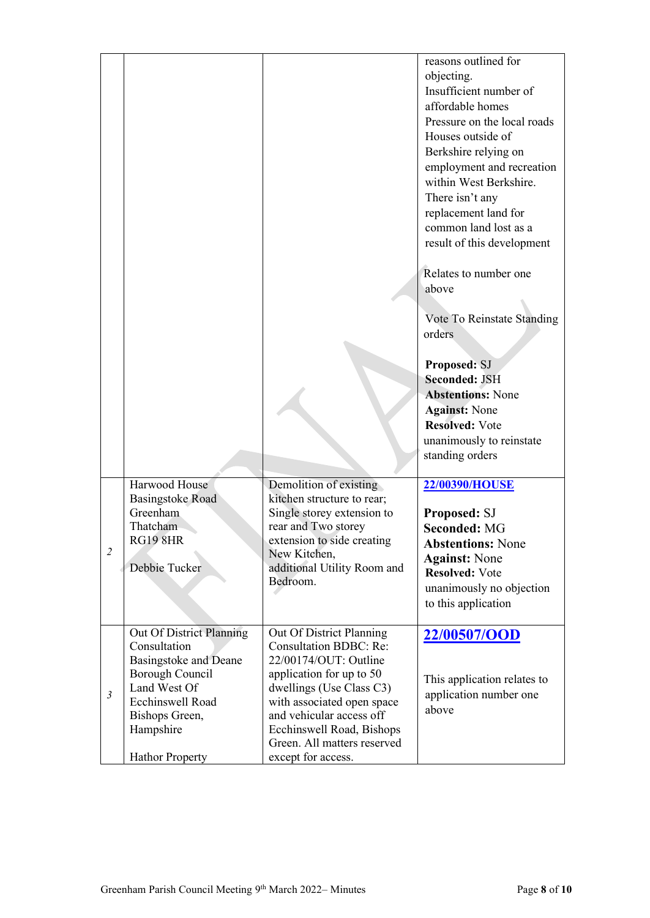|                |                                                                                                                                                                                          |                                                                                                                                                                                                                                                                                        | reasons outlined for<br>objecting.<br>Insufficient number of<br>affordable homes<br>Pressure on the local roads<br>Houses outside of<br>Berkshire relying on<br>employment and recreation<br>within West Berkshire.<br>There isn't any<br>replacement land for<br>common land lost as a<br>result of this development<br>Relates to number one<br>above<br>Vote To Reinstate Standing<br>orders<br>Proposed: SJ<br><b>Seconded: JSH</b><br><b>Abstentions: None</b><br><b>Against: None</b> |
|----------------|------------------------------------------------------------------------------------------------------------------------------------------------------------------------------------------|----------------------------------------------------------------------------------------------------------------------------------------------------------------------------------------------------------------------------------------------------------------------------------------|---------------------------------------------------------------------------------------------------------------------------------------------------------------------------------------------------------------------------------------------------------------------------------------------------------------------------------------------------------------------------------------------------------------------------------------------------------------------------------------------|
|                |                                                                                                                                                                                          |                                                                                                                                                                                                                                                                                        | <b>Resolved: Vote</b><br>unanimously to reinstate<br>standing orders                                                                                                                                                                                                                                                                                                                                                                                                                        |
| 2              | Harwood House<br>Basingstoke Road<br>Greenham<br>Thatcham<br><b>RG19 8HR</b><br>Debbie Tucker                                                                                            | Demolition of existing<br>kitchen structure to rear;<br>Single storey extension to<br>rear and Two storey<br>extension to side creating<br>New Kitchen,<br>additional Utility Room and<br>Bedroom.                                                                                     | 22/00390/HOUSE<br>Proposed: SJ<br><b>Seconded: MG</b><br><b>Abstentions: None</b><br><b>Against: None</b><br><b>Resolved: Vote</b><br>unanimously no objection<br>to this application                                                                                                                                                                                                                                                                                                       |
| $\mathfrak{Z}$ | Out Of District Planning<br>Consultation<br>Basingstoke and Deane<br>Borough Council<br>Land West Of<br><b>Ecchinswell Road</b><br>Bishops Green,<br>Hampshire<br><b>Hathor Property</b> | Out Of District Planning<br><b>Consultation BDBC: Re:</b><br>22/00174/OUT: Outline<br>application for up to 50<br>dwellings (Use Class C3)<br>with associated open space<br>and vehicular access off<br>Ecchinswell Road, Bishops<br>Green. All matters reserved<br>except for access. | 22/00507/OOD<br>This application relates to<br>application number one<br>above                                                                                                                                                                                                                                                                                                                                                                                                              |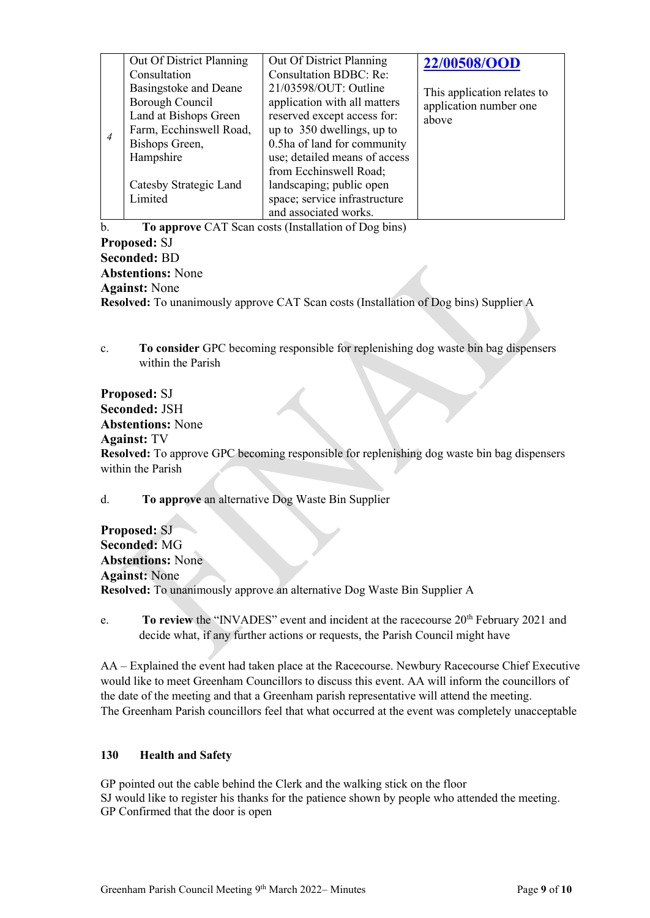| Out Of District Planning<br>Consultation<br>Basingstoke and Deane<br>Borough Council<br>Land at Bishops Green<br>Farm, Ecchinswell Road,<br>Bishops Green, | Out Of District Planning<br><b>Consultation BDBC: Re:</b><br>21/03598/OUT: Outline<br>application with all matters<br>reserved except access for:<br>up to 350 dwellings, up to<br>0.5ha of land for community | 22/00508/OOD<br>This application relates to<br>application number one<br>above |
|------------------------------------------------------------------------------------------------------------------------------------------------------------|----------------------------------------------------------------------------------------------------------------------------------------------------------------------------------------------------------------|--------------------------------------------------------------------------------|
| Hampshire<br>Catesby Strategic Land                                                                                                                        | use; detailed means of access<br>from Ecchinswell Road;<br>landscaping; public open                                                                                                                            |                                                                                |
| Limited                                                                                                                                                    | space; service infrastructure<br>and associated works.                                                                                                                                                         |                                                                                |

b. **To approve** CAT Scan costs (Installation of Dog bins) **Proposed:** SJ **Seconded:** BD **Abstentions:** None **Against:** None **Resolved:** To unanimously approve CAT Scan costs (Installation of Dog bins) Supplier A

c. **To consider** GPC becoming responsible for replenishing dog waste bin bag dispensers within the Parish

**Proposed:** SJ **Seconded:** JSH **Abstentions:** None **Against:** TV **Resolved:** To approve GPC becoming responsible for replenishing dog waste bin bag dispensers within the Parish

d. **To approve** an alternative Dog Waste Bin Supplier

**Proposed:** SJ **Seconded:** MG **Abstentions:** None **Against:** None **Resolved:** To unanimously approve an alternative Dog Waste Bin Supplier A

e. **To review** the "INVADES" event and incident at the racecourse 20<sup>th</sup> February 2021 and decide what, if any further actions or requests, the Parish Council might have

AA – Explained the event had taken place at the Racecourse. Newbury Racecourse Chief Executive would like to meet Greenham Councillors to discuss this event. AA will inform the councillors of the date of the meeting and that a Greenham parish representative will attend the meeting. The Greenham Parish councillors feel that what occurred at the event was completely unacceptable

#### **130 Health and Safety**

GP pointed out the cable behind the Clerk and the walking stick on the floor SJ would like to register his thanks for the patience shown by people who attended the meeting. GP Confirmed that the door is open